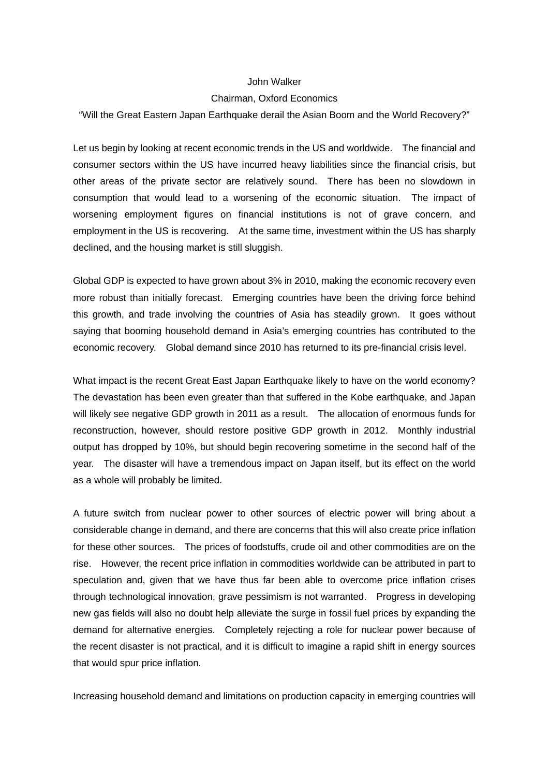## John Walker

## Chairman, Oxford Economics

"Will the Great Eastern Japan Earthquake derail the Asian Boom and the World Recovery?"

Let us begin by looking at recent economic trends in the US and worldwide. The financial and consumer sectors within the US have incurred heavy liabilities since the financial crisis, but other areas of the private sector are relatively sound. There has been no slowdown in consumption that would lead to a worsening of the economic situation. The impact of worsening employment figures on financial institutions is not of grave concern, and employment in the US is recovering. At the same time, investment within the US has sharply declined, and the housing market is still sluggish.

Global GDP is expected to have grown about 3% in 2010, making the economic recovery even more robust than initially forecast. Emerging countries have been the driving force behind this growth, and trade involving the countries of Asia has steadily grown. It goes without saying that booming household demand in Asia's emerging countries has contributed to the economic recovery. Global demand since 2010 has returned to its pre-financial crisis level.

What impact is the recent Great East Japan Earthquake likely to have on the world economy? The devastation has been even greater than that suffered in the Kobe earthquake, and Japan will likely see negative GDP growth in 2011 as a result. The allocation of enormous funds for reconstruction, however, should restore positive GDP growth in 2012. Monthly industrial output has dropped by 10%, but should begin recovering sometime in the second half of the year. The disaster will have a tremendous impact on Japan itself, but its effect on the world as a whole will probably be limited.

A future switch from nuclear power to other sources of electric power will bring about a considerable change in demand, and there are concerns that this will also create price inflation for these other sources. The prices of foodstuffs, crude oil and other commodities are on the rise. However, the recent price inflation in commodities worldwide can be attributed in part to speculation and, given that we have thus far been able to overcome price inflation crises through technological innovation, grave pessimism is not warranted. Progress in developing new gas fields will also no doubt help alleviate the surge in fossil fuel prices by expanding the demand for alternative energies. Completely rejecting a role for nuclear power because of the recent disaster is not practical, and it is difficult to imagine a rapid shift in energy sources that would spur price inflation.

Increasing household demand and limitations on production capacity in emerging countries will